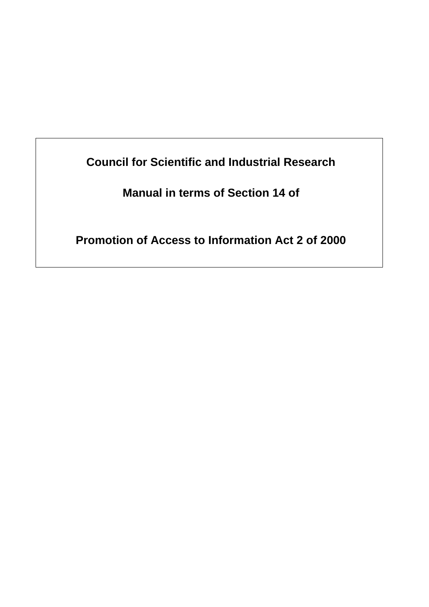**Council for Scientific and Industrial Research**

**Manual in terms of Section 14 of**

**Promotion of Access to Information Act 2 of 2000**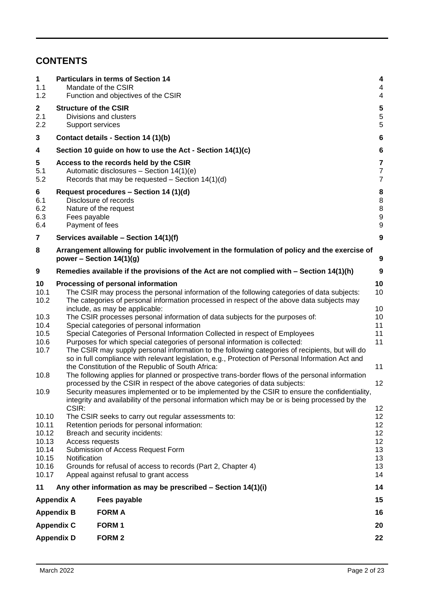### **CONTENTS**

| 1<br>1.1<br>1.2                       |                   |                                 | <b>Particulars in terms of Section 14</b><br>Mandate of the CSIR<br>Function and objectives of the CSIR                                                                                                                                                   | 4<br>$\overline{\mathcal{A}}$<br>$\overline{\mathcal{A}}$ |
|---------------------------------------|-------------------|---------------------------------|-----------------------------------------------------------------------------------------------------------------------------------------------------------------------------------------------------------------------------------------------------------|-----------------------------------------------------------|
| $\overline{\mathbf{2}}$<br>2.1<br>2.2 |                   | Support services                | <b>Structure of the CSIR</b><br>Divisions and clusters                                                                                                                                                                                                    | 5<br>5<br>5                                               |
| 3                                     |                   |                                 | Contact details - Section 14 (1)(b)                                                                                                                                                                                                                       | $6\phantom{1}6$                                           |
| 4                                     |                   |                                 | Section 10 guide on how to use the Act - Section 14(1)(c)                                                                                                                                                                                                 | $6\phantom{1}6$                                           |
| 5<br>5.1<br>5.2                       |                   |                                 | Access to the records held by the CSIR<br>Automatic disclosures - Section 14(1)(e)<br>Records that may be requested - Section $14(1)(d)$                                                                                                                  | 7<br>7<br>7                                               |
| 6<br>6.1<br>6.2<br>6.3<br>6.4         |                   | Fees payable<br>Payment of fees | Request procedures - Section 14 (1)(d)<br>Disclosure of records<br>Nature of the request                                                                                                                                                                  | 8<br>8<br>8<br>9<br>9                                     |
| 7                                     |                   |                                 | Services available - Section 14(1)(f)                                                                                                                                                                                                                     | 9                                                         |
| 8                                     |                   |                                 | Arrangement allowing for public involvement in the formulation of policy and the exercise of<br>power - Section $14(1)(g)$                                                                                                                                | 9                                                         |
| 9                                     |                   |                                 | Remedies available if the provisions of the Act are not complied with - Section 14(1)(h)                                                                                                                                                                  | 9                                                         |
| 10                                    |                   |                                 | Processing of personal information                                                                                                                                                                                                                        | 10                                                        |
| 10.1<br>10.2                          |                   |                                 | The CSIR may process the personal information of the following categories of data subjects:<br>The categories of personal information processed in respect of the above data subjects may<br>include, as may be applicable:                               | 10<br>10                                                  |
| 10.3                                  |                   |                                 | The CSIR processes personal information of data subjects for the purposes of:                                                                                                                                                                             | 10                                                        |
| 10.4                                  |                   |                                 | Special categories of personal information                                                                                                                                                                                                                | 11                                                        |
| 10.5                                  |                   |                                 | Special Categories of Personal Information Collected in respect of Employees                                                                                                                                                                              | 11                                                        |
| 10.6                                  |                   |                                 | Purposes for which special categories of personal information is collected:                                                                                                                                                                               | 11                                                        |
| 10.7                                  |                   |                                 | The CSIR may supply personal information to the following categories of recipients, but will do<br>so in full compliance with relevant legislation, e.g., Protection of Personal Information Act and<br>the Constitution of the Republic of South Africa: | 11                                                        |
| 10.8                                  |                   |                                 | The following applies for planned or prospective trans-border flows of the personal information                                                                                                                                                           |                                                           |
|                                       |                   |                                 | processed by the CSIR in respect of the above categories of data subjects:                                                                                                                                                                                | 12                                                        |
| 10.9                                  |                   | CSIR:                           | Security measures implemented or to be implemented by the CSIR to ensure the confidentiality,<br>integrity and availability of the personal information which may be or is being processed by the                                                         | 12                                                        |
| 10.10                                 |                   |                                 | The CSIR seeks to carry out regular assessments to:                                                                                                                                                                                                       | 12                                                        |
| 10.11                                 |                   |                                 | Retention periods for personal information:                                                                                                                                                                                                               | 12                                                        |
| 10.12                                 |                   |                                 | Breach and security incidents:                                                                                                                                                                                                                            | 12                                                        |
| 10.13                                 |                   | Access requests                 |                                                                                                                                                                                                                                                           | 12                                                        |
| 10.14                                 |                   |                                 | Submission of Access Request Form                                                                                                                                                                                                                         | 13                                                        |
| 10.15                                 |                   | Notification                    |                                                                                                                                                                                                                                                           | 13                                                        |
| 10.16<br>10.17                        |                   |                                 | Grounds for refusal of access to records (Part 2, Chapter 4)<br>Appeal against refusal to grant access                                                                                                                                                    | 13<br>14                                                  |
| 11                                    |                   |                                 | Any other information as may be prescribed – Section 14(1)(i)                                                                                                                                                                                             | 14                                                        |
| <b>Appendix A</b>                     |                   |                                 | Fees payable                                                                                                                                                                                                                                              | 15                                                        |
| <b>Appendix B</b>                     |                   |                                 | <b>FORM A</b>                                                                                                                                                                                                                                             | 16                                                        |
| <b>Appendix C</b>                     |                   |                                 | FORM <sub>1</sub>                                                                                                                                                                                                                                         | 20                                                        |
|                                       | <b>Appendix D</b> |                                 | FORM <sub>2</sub>                                                                                                                                                                                                                                         | 22                                                        |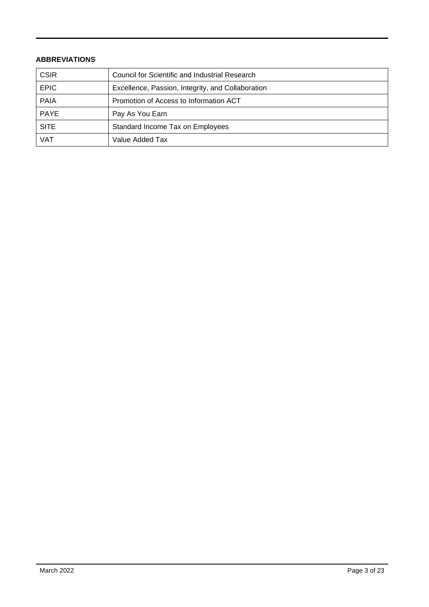#### **ABBREVIATIONS**

| <b>CSIR</b> | Council for Scientific and Industrial Research    |
|-------------|---------------------------------------------------|
| <b>EPIC</b> | Excellence, Passion, Integrity, and Collaboration |
| <b>PAIA</b> | Promotion of Access to Information ACT            |
| <b>PAYE</b> | Pay As You Earn                                   |
| <b>SITE</b> | Standard Income Tax on Employees                  |
| VAT         | Value Added Tax                                   |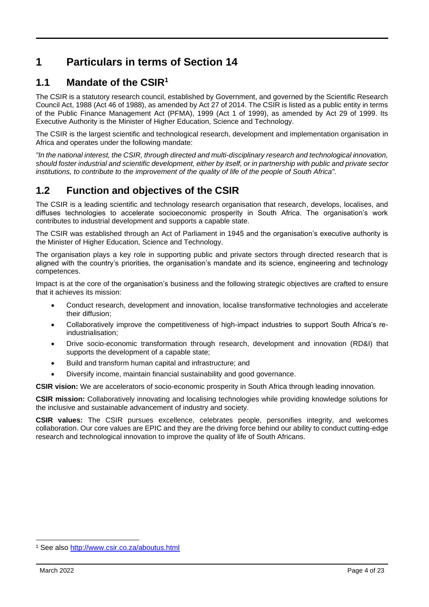# <span id="page-3-0"></span>**1 Particulars in terms of Section 14**

# <span id="page-3-1"></span>**1.1 Mandate of the CSIR<sup>1</sup>**

The CSIR is a statutory research council, established by Government, and governed by the Scientific Research Council Act, 1988 (Act 46 of 1988), as amended by Act 27 of 2014. The CSIR is listed as a public entity in terms of the Public Finance Management Act (PFMA), 1999 (Act 1 of 1999), as amended by Act 29 of 1999. Its Executive Authority is the Minister of Higher Education, Science and Technology.

The CSIR is the largest scientific and technological research, development and implementation organisation in Africa and operates under the following mandate:

*"In the national interest, the CSIR, through directed and multi-disciplinary research and technological innovation, should foster industrial and scientific development, either by itself, or in partnership with public and private sector institutions, to contribute to the improvement of the quality of life of the people of South Africa".* 

# <span id="page-3-2"></span>**1.2 Function and objectives of the CSIR**

The CSIR is a leading scientific and technology research organisation that research, develops, localises, and diffuses technologies to accelerate socioeconomic prosperity in South Africa. The organisation's work contributes to industrial development and supports a capable state.

The CSIR was established through an Act of Parliament in 1945 and the organisation's executive authority is the Minister of Higher Education, Science and Technology.

The organisation plays a key role in supporting public and private sectors through directed research that is aligned with the country's priorities, the organisation's mandate and its science, engineering and technology competences.

Impact is at the core of the organisation's business and the following strategic objectives are crafted to ensure that it achieves its mission:

- Conduct research, development and innovation, localise transformative technologies and accelerate their diffusion;
- Collaboratively improve the competitiveness of high-impact industries to support South Africa's reindustrialisation;
- Drive socio-economic transformation through research, development and innovation (RD&I) that supports the development of a capable state;
- Build and transform human capital and infrastructure; and
- Diversify income, maintain financial sustainability and good governance.

**CSIR vision:** We are accelerators of socio-economic prosperity in South Africa through leading innovation.

**CSIR mission:** Collaboratively innovating and localising technologies while providing knowledge solutions for the inclusive and sustainable advancement of industry and society.

**CSIR values:** The CSIR pursues excellence, celebrates people, personifies integrity, and welcomes collaboration. Our core values are EPIC and they are the driving force behind our ability to conduct cutting-edge research and technological innovation to improve the quality of life of South Africans.

See also<http://www.csir.co.za/aboutus.html>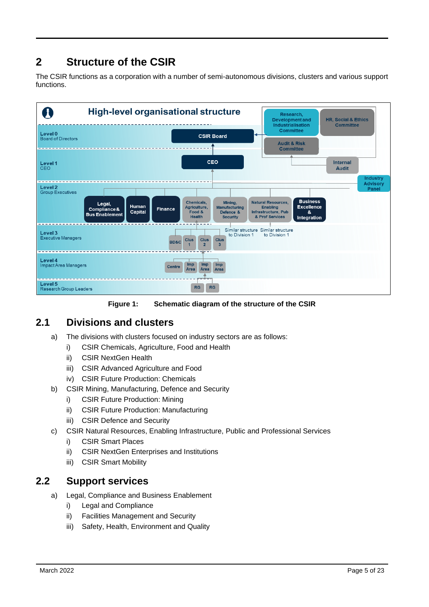# <span id="page-4-0"></span>**2 Structure of the CSIR**

The CSIR functions as a corporation with a number of semi-autonomous divisions, clusters and various support functions.



**Figure 1: Schematic diagram of the structure of the CSIR**

### <span id="page-4-1"></span>**2.1 Divisions and clusters**

- a) The divisions with clusters focused on industry sectors are as follows:
	- i) CSIR Chemicals, Agriculture, Food and Health
	- ii) CSIR NextGen Health
	- iii) CSIR Advanced Agriculture and Food
	- iv) CSIR Future Production: Chemicals
- b) CSIR Mining, Manufacturing, Defence and Security
	- i) CSIR Future Production: Mining
	- ii) CSIR Future Production: Manufacturing
	- iii) CSIR Defence and Security
- c) CSIR Natural Resources, Enabling Infrastructure, Public and Professional Services
	- i) CSIR Smart Places
	- ii) CSIR NextGen Enterprises and Institutions
	- iii) CSIR Smart Mobility

#### <span id="page-4-2"></span>**2.2 Support services**

- a) Legal, Compliance and Business Enablement
	- i) Legal and Compliance
	- ii) Facilities Management and Security
	- iii) Safety, Health, Environment and Quality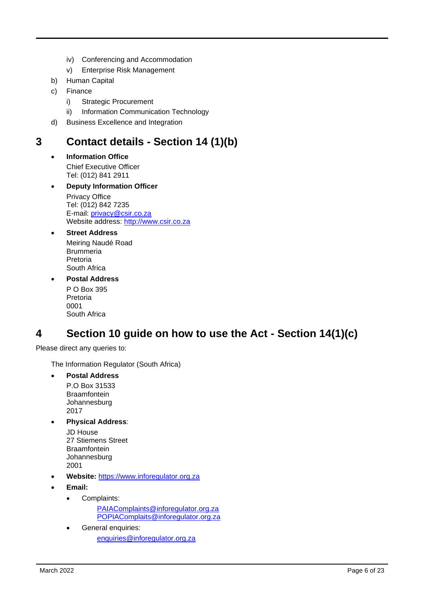- iv) Conferencing and Accommodation
- v) Enterprise Risk Management
- b) Human Capital
- c) Finance
	- i) Strategic Procurement
	- ii) Information Communication Technology
- d) Business Excellence and Integration

## <span id="page-5-0"></span>**3 Contact details - Section 14 (1)(b)**

- **Information Office** Chief Executive Officer Tel: (012) 841 2911
- **Deputy Information Officer** Privacy Office Tel: (012) 842 7235 E-mail: [privacy@csir.co.za](mailto:privacy@csir.co.za) Website address: [http://www.csir.co.za](http://www.csir.co.za/)
- **Street Address** Meiring Naudé Road **Brummeria** Pretoria South Africa
- **Postal Address**
	- P O Box 395 Pretoria 0001 South Africa

# <span id="page-5-1"></span>**4 Section 10 guide on how to use the Act - Section 14(1)(c)**

Please direct any queries to:

The Information Regulator (South Africa)

• **Postal Address** P.O Box 31533 Braamfontein Johannesburg

2017

- **Physical Address**:
	- JD House 27 Stiemens Street Braamfontein Johannesburg 2001
- **Website:** [https://www.inforegulator.org.za](https://www.inforegulator.org.za/)
- **Email:**
	- Complaints:
		- [PAIAComplaints@inforegulator.org.za](mailto:PAIAComplaints@inforegulator.org.za) [POPIAComplaits@inforegulator.org.za](mailto:POPIAComplaits@inforegulator.org.za)
	- General enquiries: [enquiries@inforegulator.org.za](mailto:enquiries@inforegulator.org.za)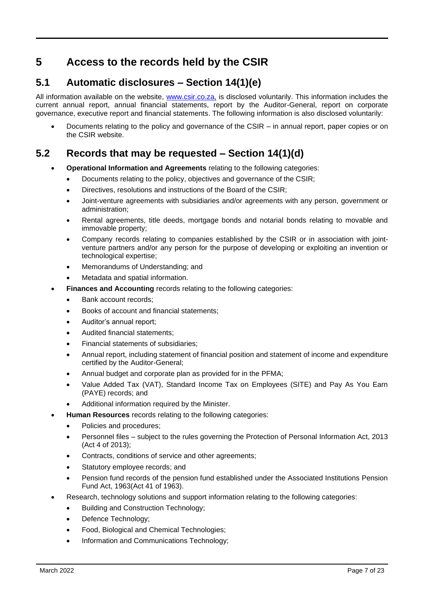# <span id="page-6-0"></span>**5 Access to the records held by the CSIR**

## <span id="page-6-1"></span>**5.1 Automatic disclosures – Section 14(1)(e)**

All information available on the website, [www.csir.co.za,](http://www.csir.co.za/) is disclosed voluntarily. This information includes the current annual report, annual financial statements, report by the Auditor-General, report on corporate governance, executive report and financial statements. The following information is also disclosed voluntarily:

• Documents relating to the policy and governance of the CSIR – in annual report, paper copies or on the CSIR website.

## <span id="page-6-2"></span>**5.2 Records that may be requested – Section 14(1)(d)**

- **Operational Information and Agreements** relating to the following categories:
	- Documents relating to the policy, objectives and governance of the CSIR;
	- Directives, resolutions and instructions of the Board of the CSIR;
	- Joint-venture agreements with subsidiaries and/or agreements with any person, government or administration;
	- Rental agreements, title deeds, mortgage bonds and notarial bonds relating to movable and immovable property;
	- Company records relating to companies established by the CSIR or in association with jointventure partners and/or any person for the purpose of developing or exploiting an invention or technological expertise;
	- Memorandums of Understanding; and
	- Metadata and spatial information.
- **Finances and Accounting** records relating to the following categories:
	- Bank account records:
	- Books of account and financial statements;
	- Auditor's annual report;
	- Audited financial statements;
	- Financial statements of subsidiaries;
	- Annual report, including statement of financial position and statement of income and expenditure certified by the Auditor-General;
	- Annual budget and corporate plan as provided for in the PFMA;
	- Value Added Tax (VAT), Standard Income Tax on Employees (SITE) and Pay As You Earn (PAYE) records; and
	- Additional information required by the Minister.
	- **Human Resources** records relating to the following categories:
		- Policies and procedures;
		- Personnel files subject to the rules governing the Protection of Personal Information Act, 2013 (Act 4 of 2013);
		- Contracts, conditions of service and other agreements;
		- Statutory employee records; and
		- Pension fund records of the pension fund established under the Associated Institutions Pension Fund Act, 1963(Act 41 of 1963).
- Research, technology solutions and support information relating to the following categories:
	- Building and Construction Technology;
	- Defence Technology;
	- Food, Biological and Chemical Technologies;
	- Information and Communications Technology;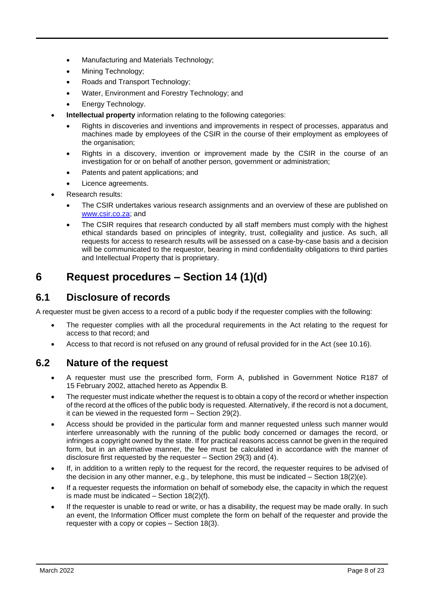- Manufacturing and Materials Technology;
- Mining Technology;
- Roads and Transport Technology;
- Water, Environment and Forestry Technology; and
- Energy Technology.
- **Intellectual property** information relating to the following categories:
	- Rights in discoveries and inventions and improvements in respect of processes, apparatus and machines made by employees of the CSIR in the course of their employment as employees of the organisation;
	- Rights in a discovery, invention or improvement made by the CSIR in the course of an investigation for or on behalf of another person, government or administration;
	- Patents and patent applications; and
	- Licence agreements.
- Research results:
	- The CSIR undertakes various research assignments and an overview of these are published on [www.csir.co.za;](http://www.csir.co.za/) and
	- The CSIR requires that research conducted by all staff members must comply with the highest ethical standards based on principles of integrity, trust, collegiality and justice. As such, all requests for access to research results will be assessed on a case-by-case basis and a decision will be communicated to the requestor, bearing in mind confidentiality obligations to third parties and Intellectual Property that is proprietary.

## <span id="page-7-0"></span>**6 Request procedures – Section 14 (1)(d)**

### <span id="page-7-1"></span>**6.1 Disclosure of records**

A requester must be given access to a record of a public body if the requester complies with the following:

- The requester complies with all the procedural requirements in the Act relating to the request for access to that record; and
- Access to that record is not refused on any ground of refusal provided for in the Act (see [10.16\)](#page-12-2).

### <span id="page-7-2"></span>**6.2 Nature of the request**

- A requester must use the prescribed form, Form A, published in Government Notice R187 of 15 February 2002, attached hereto as [Appendix](#page-15-0) B.
- The requester must indicate whether the request is to obtain a copy of the record or whether inspection of the record at the offices of the public body is requested. Alternatively, if the record is not a document, it can be viewed in the requested form – Section 29(2).
- Access should be provided in the particular form and manner requested unless such manner would interfere unreasonably with the running of the public body concerned or damages the record, or infringes a copyright owned by the state. If for practical reasons access cannot be given in the required form, but in an alternative manner, the fee must be calculated in accordance with the manner of disclosure first requested by the requester – Section 29(3) and (4).
- If, in addition to a written reply to the request for the record, the requester requires to be advised of the decision in any other manner, e.g., by telephone, this must be indicated – Section 18(2)(e).
- If a requester requests the information on behalf of somebody else, the capacity in which the request is made must be indicated – Section 18(2)(f).
- If the requester is unable to read or write, or has a disability, the request may be made orally. In such an event, the Information Officer must complete the form on behalf of the requester and provide the requester with a copy or copies – Section 18(3).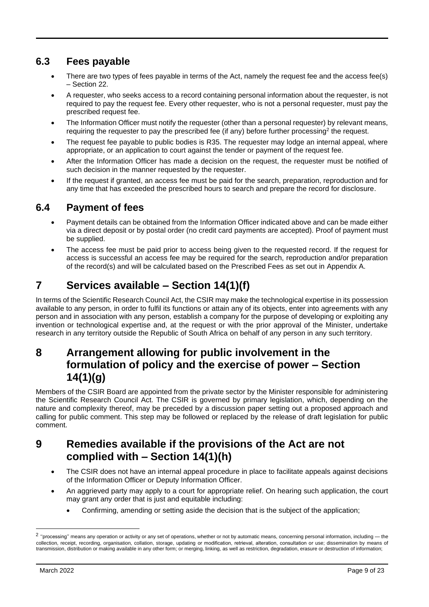## <span id="page-8-0"></span>**6.3 Fees payable**

- There are two types of fees payable in terms of the Act, namely the request fee and the access fee(s) – Section 22.
- A requester, who seeks access to a record containing personal information about the requester, is not required to pay the request fee. Every other requester, who is not a personal requester, must pay the prescribed request fee.
- The Information Officer must notify the requester (other than a personal requester) by relevant means, requiring the requester to pay the prescribed fee (if any) before further processing<sup>2</sup> the request.
- The request fee payable to public bodies is R35. The requester may lodge an internal appeal, where appropriate, or an application to court against the tender or payment of the request fee.
- After the Information Officer has made a decision on the request, the requester must be notified of such decision in the manner requested by the requester.
- If the request if granted, an access fee must be paid for the search, preparation, reproduction and for any time that has exceeded the prescribed hours to search and prepare the record for disclosure.

### <span id="page-8-1"></span>**6.4 Payment of fees**

- Payment details can be obtained from the Information Officer indicated above and can be made either via a direct deposit or by postal order (no credit card payments are accepted). Proof of payment must be supplied.
- The access fee must be paid prior to access being given to the requested record. If the request for access is successful an access fee may be required for the search, reproduction and/or preparation of the record(s) and will be calculated based on the Prescribed Fees as set out in [Appendix](#page-14-0) A.

# <span id="page-8-2"></span>**7 Services available – Section 14(1)(f)**

In terms of the Scientific Research Council Act, the CSIR may make the technological expertise in its possession available to any person, in order to fulfil its functions or attain any of its objects, enter into agreements with any person and in association with any person, establish a company for the purpose of developing or exploiting any invention or technological expertise and, at the request or with the prior approval of the Minister, undertake research in any territory outside the Republic of South Africa on behalf of any person in any such territory.

## <span id="page-8-3"></span>**8 Arrangement allowing for public involvement in the formulation of policy and the exercise of power – Section 14(1)(g)**

Members of the CSIR Board are appointed from the private sector by the Minister responsible for administering the Scientific Research Council Act. The CSIR is governed by primary legislation, which, depending on the nature and complexity thereof, may be preceded by a discussion paper setting out a proposed approach and calling for public comment. This step may be followed or replaced by the release of draft legislation for public comment.

## <span id="page-8-4"></span>**9 Remedies available if the provisions of the Act are not complied with – Section 14(1)(h)**

- The CSIR does not have an internal appeal procedure in place to facilitate appeals against decisions of the Information Officer or Deputy Information Officer.
- An aggrieved party may apply to a court for appropriate relief. On hearing such application, the court may grant any order that is just and equitable including:
	- Confirming, amending or setting aside the decision that is the subject of the application;

 $^2$  "processing" means any operation or activity or any set of operations, whether or not by automatic means, concerning personal information, including — the collection, receipt, recording, organisation, collation, storage, updating or modification, retrieval, alteration, consultation or use; dissemination by means of transmission, distribution or making available in any other form; or merging, linking, as well as restriction, degradation, erasure or destruction of information;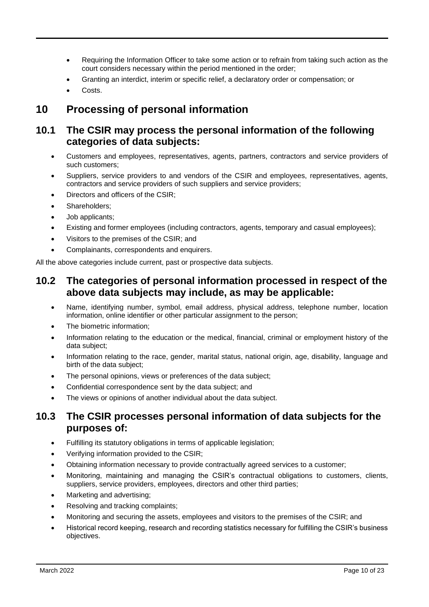- Requiring the Information Officer to take some action or to refrain from taking such action as the court considers necessary within the period mentioned in the order;
- Granting an interdict, interim or specific relief, a declaratory order or compensation; or
- Costs.

# <span id="page-9-0"></span>**10 Processing of personal information**

### <span id="page-9-1"></span>**10.1 The CSIR may process the personal information of the following categories of data subjects:**

- Customers and employees, representatives, agents, partners, contractors and service providers of such customers;
- Suppliers, service providers to and vendors of the CSIR and employees, representatives, agents, contractors and service providers of such suppliers and service providers;
- Directors and officers of the CSIR:
- Shareholders;
- Job applicants;
- Existing and former employees (including contractors, agents, temporary and casual employees);
- Visitors to the premises of the CSIR; and
- Complainants, correspondents and enquirers.

All the above categories include current, past or prospective data subjects.

### <span id="page-9-2"></span>**10.2 The categories of personal information processed in respect of the above data subjects may include, as may be applicable:**

- Name, identifying number, symbol, email address, physical address, telephone number, location information, online identifier or other particular assignment to the person;
- The biometric information;
- Information relating to the education or the medical, financial, criminal or employment history of the data subject;
- Information relating to the race, gender, marital status, national origin, age, disability, language and birth of the data subject;
- The personal opinions, views or preferences of the data subject;
- Confidential correspondence sent by the data subject; and
- The views or opinions of another individual about the data subject.

#### <span id="page-9-3"></span>**10.3 The CSIR processes personal information of data subjects for the purposes of:**

- Fulfilling its statutory obligations in terms of applicable legislation;
- Verifying information provided to the CSIR;
- Obtaining information necessary to provide contractually agreed services to a customer;
- Monitoring, maintaining and managing the CSIR's contractual obligations to customers, clients, suppliers, service providers, employees, directors and other third parties;
- Marketing and advertising;
- Resolving and tracking complaints;
- Monitoring and securing the assets, employees and visitors to the premises of the CSIR; and
- Historical record keeping, research and recording statistics necessary for fulfilling the CSIR's business objectives.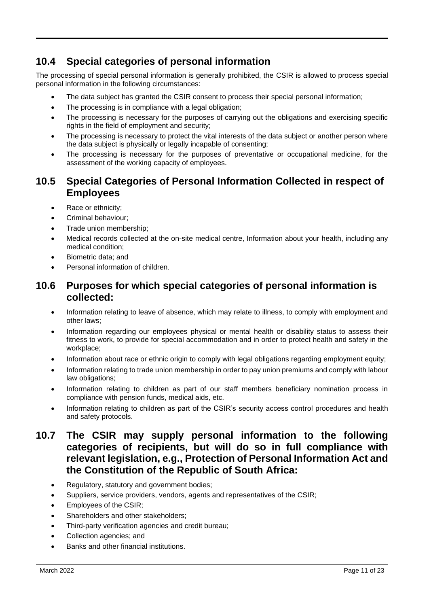## <span id="page-10-0"></span>**10.4 Special categories of personal information**

The processing of special personal information is generally prohibited, the CSIR is allowed to process special personal information in the following circumstances:

- The data subject has granted the CSIR consent to process their special personal information;
- The processing is in compliance with a legal obligation;
- The processing is necessary for the purposes of carrying out the obligations and exercising specific rights in the field of employment and security;
- The processing is necessary to protect the vital interests of the data subject or another person where the data subject is physically or legally incapable of consenting;
- The processing is necessary for the purposes of preventative or occupational medicine, for the assessment of the working capacity of employees.

## <span id="page-10-1"></span>**10.5 Special Categories of Personal Information Collected in respect of Employees**

- Race or ethnicity;
- Criminal behaviour;
- Trade union membership;
- Medical records collected at the on-site medical centre, Information about your health, including any medical condition;
- Biometric data; and
- Personal information of children.

### <span id="page-10-2"></span>**10.6 Purposes for which special categories of personal information is collected:**

- Information relating to leave of absence, which may relate to illness, to comply with employment and other laws;
- Information regarding our employees physical or mental health or disability status to assess their fitness to work, to provide for special accommodation and in order to protect health and safety in the workplace;
- Information about race or ethnic origin to comply with legal obligations regarding employment equity;
- Information relating to trade union membership in order to pay union premiums and comply with labour law obligations;
- Information relating to children as part of our staff members beneficiary nomination process in compliance with pension funds, medical aids, etc.
- Information relating to children as part of the CSIR's security access control procedures and health and safety protocols.

### <span id="page-10-3"></span>**10.7 The CSIR may supply personal information to the following categories of recipients, but will do so in full compliance with relevant legislation, e.g., Protection of Personal Information Act and the Constitution of the Republic of South Africa:**

- Regulatory, statutory and government bodies;
- Suppliers, service providers, vendors, agents and representatives of the CSIR;
- Employees of the CSIR;
- Shareholders and other stakeholders;
- Third-party verification agencies and credit bureau;
- Collection agencies; and
- Banks and other financial institutions.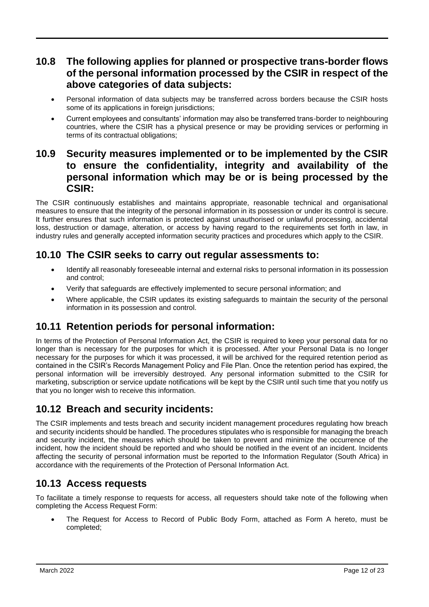### <span id="page-11-0"></span>**10.8 The following applies for planned or prospective trans-border flows of the personal information processed by the CSIR in respect of the above categories of data subjects:**

- Personal information of data subjects may be transferred across borders because the CSIR hosts some of its applications in foreign jurisdictions;
- Current employees and consultants' information may also be transferred trans-border to neighbouring countries, where the CSIR has a physical presence or may be providing services or performing in terms of its contractual obligations;

### <span id="page-11-1"></span>**10.9 Security measures implemented or to be implemented by the CSIR to ensure the confidentiality, integrity and availability of the personal information which may be or is being processed by the CSIR:**

The CSIR continuously establishes and maintains appropriate, reasonable technical and organisational measures to ensure that the integrity of the personal information in its possession or under its control is secure. It further ensures that such information is protected against unauthorised or unlawful processing, accidental loss, destruction or damage, alteration, or access by having regard to the requirements set forth in law, in industry rules and generally accepted information security practices and procedures which apply to the CSIR.

### <span id="page-11-2"></span>**10.10 The CSIR seeks to carry out regular assessments to:**

- Identify all reasonably foreseeable internal and external risks to personal information in its possession and control;
- Verify that safeguards are effectively implemented to secure personal information; and
- Where applicable, the CSIR updates its existing safeguards to maintain the security of the personal information in its possession and control.

### <span id="page-11-3"></span>**10.11 Retention periods for personal information:**

In terms of the Protection of Personal Information Act, the CSIR is required to keep your personal data for no longer than is necessary for the purposes for which it is processed. After your Personal Data is no longer necessary for the purposes for which it was processed, it will be archived for the required retention period as contained in the CSIR's Records Management Policy and File Plan. Once the retention period has expired, the personal information will be irreversibly destroyed. Any personal information submitted to the CSIR for marketing, subscription or service update notifications will be kept by the CSIR until such time that you notify us that you no longer wish to receive this information.

## <span id="page-11-4"></span>**10.12 Breach and security incidents:**

The CSIR implements and tests breach and security incident management procedures regulating how breach and security incidents should be handled. The procedures stipulates who is responsible for managing the breach and security incident, the measures which should be taken to prevent and minimize the occurrence of the incident, how the incident should be reported and who should be notified in the event of an incident. Incidents affecting the security of personal information must be reported to the Information Regulator (South Africa) in accordance with the requirements of the Protection of Personal Information Act.

### <span id="page-11-5"></span>**10.13 Access requests**

To facilitate a timely response to requests for access, all requesters should take note of the following when completing the Access Request Form:

• The Request for Access to Record of Public Body Form, attached as Form A hereto, must be completed;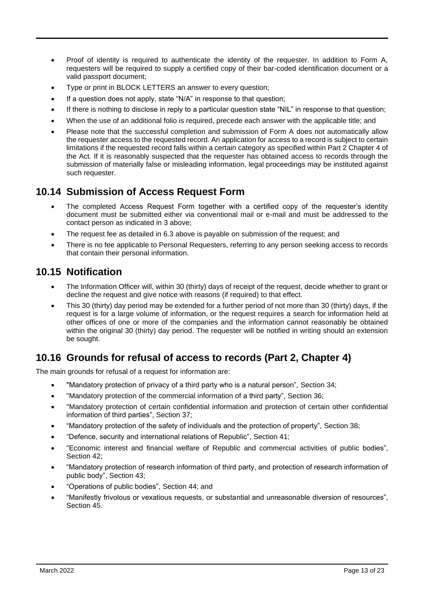- Proof of identity is required to authenticate the identity of the requester. In addition to Form A, requesters will be required to supply a certified copy of their bar-coded identification document or a valid passport document;
- Type or print in BLOCK LETTERS an answer to every question;
- If a question does not apply, state "N/A" in response to that question;
- If there is nothing to disclose in reply to a particular question state "NIL" in response to that question;
- When the use of an additional folio is required, precede each answer with the applicable title; and
- Please note that the successful completion and submission of Form A does not automatically allow the requester access to the requested record. An application for access to a record is subject to certain limitations if the requested record falls within a certain category as specified within Part 2 Chapter 4 of the Act. If it is reasonably suspected that the requester has obtained access to records through the submission of materially false or misleading information, legal proceedings may be instituted against such requester.

### <span id="page-12-0"></span>**10.14 Submission of Access Request Form**

- The completed Access Request Form together with a certified copy of the requester's identity document must be submitted either via conventional mail or e-mail and must be addressed to the contact person as indicated in [3](#page-5-0) above;
- The request fee as detailed in [6.3](#page-8-0) above is payable on submission of the request; and
- There is no fee applicable to Personal Requesters, referring to any person seeking access to records that contain their personal information.

### <span id="page-12-1"></span>**10.15 Notification**

- The Information Officer will, within 30 (thirty) days of receipt of the request, decide whether to grant or decline the request and give notice with reasons (if required) to that effect.
- This 30 (thirty) day period may be extended for a further period of not more than 30 (thirty) days, if the request is for a large volume of information, or the request requires a search for information held at other offices of one or more of the companies and the information cannot reasonably be obtained within the original 30 (thirty) day period. The requester will be notified in writing should an extension be sought.

## <span id="page-12-2"></span>**10.16 Grounds for refusal of access to records (Part 2, Chapter 4)**

The main grounds for refusal of a request for information are:

- "Mandatory protection of privacy of a third party who is a natural person", Section 34;
- "Mandatory protection of the commercial information of a third party", Section 36;
- "Mandatory protection of certain confidential information and protection of certain other confidential information of third parties", Section 37;
- "Mandatory protection of the safety of individuals and the protection of property", Section 38;
- "Defence, security and international relations of Republic", Section 41;
- "Economic interest and financial welfare of Republic and commercial activities of public bodies", Section 42;
- "Mandatory protection of research information of third party, and protection of research information of public body", Section 43;
- "Operations of public bodies", Section 44; and
- "Manifestly frivolous or vexatious requests, or substantial and unreasonable diversion of resources", Section 45.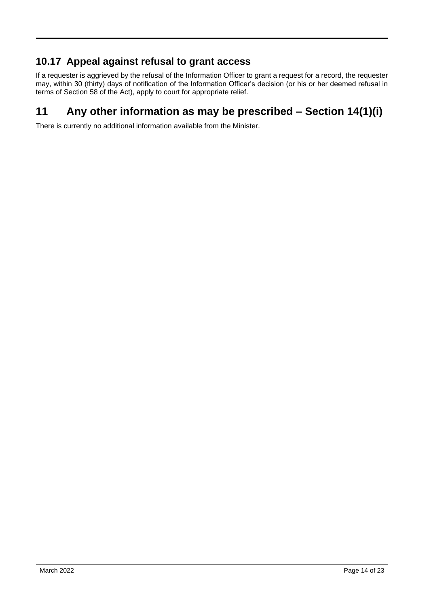## <span id="page-13-0"></span>**10.17 Appeal against refusal to grant access**

If a requester is aggrieved by the refusal of the Information Officer to grant a request for a record, the requester may, within 30 (thirty) days of notification of the Information Officer's decision (or his or her deemed refusal in terms of Section 58 of the Act), apply to court for appropriate relief.

# <span id="page-13-1"></span>**11 Any other information as may be prescribed – Section 14(1)(i)**

There is currently no additional information available from the Minister.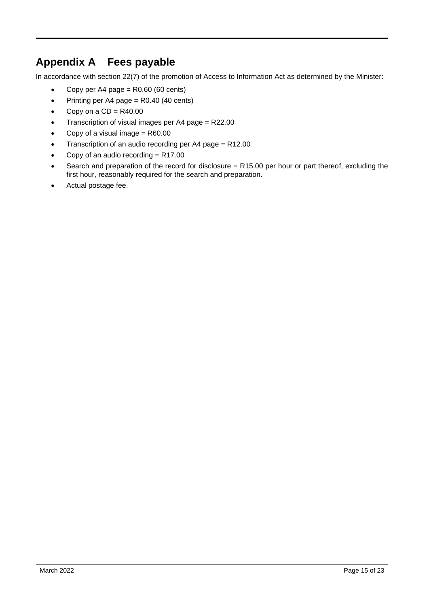# <span id="page-14-0"></span>**Appendix A Fees payable**

In accordance with section 22(7) of the promotion of Access to Information Act as determined by the Minister:

- Copy per A4 page =  $R0.60$  (60 cents)
- Printing per A4 page = R0.40 (40 cents)
- Copy on a  $CD = R40.00$
- Transcription of visual images per A4 page = R22.00
- Copy of a visual image  $=$  R60.00
- Transcription of an audio recording per A4 page = R12.00
- Copy of an audio recording  $= R17.00$
- Search and preparation of the record for disclosure = R15.00 per hour or part thereof, excluding the first hour, reasonably required for the search and preparation.
- Actual postage fee.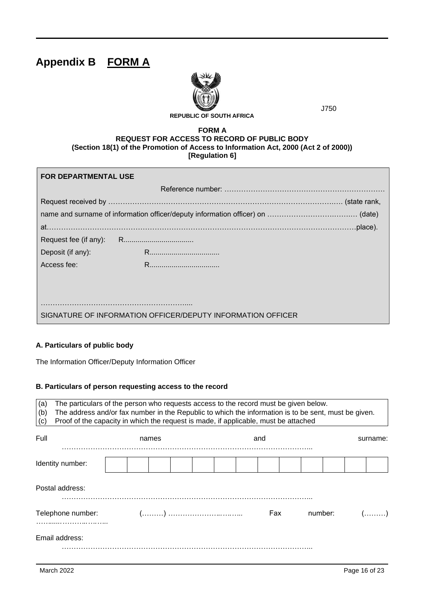# <span id="page-15-0"></span>**Appendix B FORM A**



J750

#### **REPUBLIC OF SOUTH AFRICA**

#### **FORM A REQUEST FOR ACCESS TO RECORD OF PUBLIC BODY (Section 18(1) of the Promotion of Access to Information Act, 2000 (Act 2 of 2000)) [Regulation 6]**

| <b>FOR DEPARTMENTAL USE</b>                                 |  |  |  |  |
|-------------------------------------------------------------|--|--|--|--|
|                                                             |  |  |  |  |
|                                                             |  |  |  |  |
|                                                             |  |  |  |  |
|                                                             |  |  |  |  |
| Request fee (if any):                                       |  |  |  |  |
| Deposit (if any):                                           |  |  |  |  |
| Access fee:                                                 |  |  |  |  |
|                                                             |  |  |  |  |
|                                                             |  |  |  |  |
|                                                             |  |  |  |  |
| SIGNATURE OF INFORMATION OFFICER/DEPUTY INFORMATION OFFICER |  |  |  |  |

#### **A. Particulars of public body**

The Information Officer/Deputy Information Officer

#### **B. Particulars of person requesting access to the record**

| (a)<br>The particulars of the person who requests access to the record must be given below.<br>The address and/or fax number in the Republic to which the information is to be sent, must be given.<br>(b)<br>Proof of the capacity in which the request is made, if applicable, must be attached<br>(c) |  |  |  |  |          |     |         |  |                    |
|----------------------------------------------------------------------------------------------------------------------------------------------------------------------------------------------------------------------------------------------------------------------------------------------------------|--|--|--|--|----------|-----|---------|--|--------------------|
| Full<br>and<br>names                                                                                                                                                                                                                                                                                     |  |  |  |  | surname: |     |         |  |                    |
| Identity number:                                                                                                                                                                                                                                                                                         |  |  |  |  |          |     |         |  |                    |
| Postal address:                                                                                                                                                                                                                                                                                          |  |  |  |  |          |     |         |  |                    |
| Telephone number:                                                                                                                                                                                                                                                                                        |  |  |  |  |          | Fax | number: |  | $(\ldots, \ldots)$ |
| Email address:                                                                                                                                                                                                                                                                                           |  |  |  |  |          |     |         |  |                    |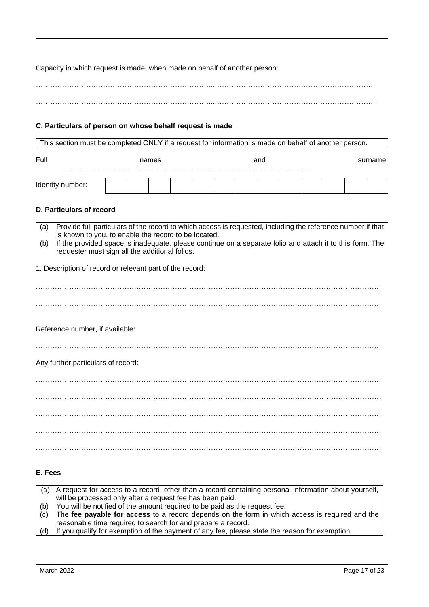Capacity in which request is made, when made on behalf of another person:

………………………………………………………………...…………………………………………………………...

#### **C. Particulars of person on whose behalf request is made**

| This section must be completed ONLY if a request for information is made on behalf of another person. |                                                                                                                                                                                                                                                                                                                                   |  |       |  |  |  |     |  |  |          |
|-------------------------------------------------------------------------------------------------------|-----------------------------------------------------------------------------------------------------------------------------------------------------------------------------------------------------------------------------------------------------------------------------------------------------------------------------------|--|-------|--|--|--|-----|--|--|----------|
| Full                                                                                                  |                                                                                                                                                                                                                                                                                                                                   |  | names |  |  |  | and |  |  | surname: |
| Identity number:                                                                                      |                                                                                                                                                                                                                                                                                                                                   |  |       |  |  |  |     |  |  |          |
| D. Particulars of record                                                                              |                                                                                                                                                                                                                                                                                                                                   |  |       |  |  |  |     |  |  |          |
| (a)<br>(b)                                                                                            | Provide full particulars of the record to which access is requested, including the reference number if that<br>is known to you, to enable the record to be located.<br>If the provided space is inadequate, please continue on a separate folio and attach it to this form. The<br>requester must sign all the additional folios. |  |       |  |  |  |     |  |  |          |
| 1. Description of record or relevant part of the record:                                              |                                                                                                                                                                                                                                                                                                                                   |  |       |  |  |  |     |  |  |          |
|                                                                                                       |                                                                                                                                                                                                                                                                                                                                   |  |       |  |  |  |     |  |  |          |
|                                                                                                       |                                                                                                                                                                                                                                                                                                                                   |  |       |  |  |  |     |  |  |          |
| Reference number, if available:                                                                       |                                                                                                                                                                                                                                                                                                                                   |  |       |  |  |  |     |  |  |          |
|                                                                                                       |                                                                                                                                                                                                                                                                                                                                   |  |       |  |  |  |     |  |  |          |
| Any further particulars of record:                                                                    |                                                                                                                                                                                                                                                                                                                                   |  |       |  |  |  |     |  |  |          |
|                                                                                                       |                                                                                                                                                                                                                                                                                                                                   |  |       |  |  |  |     |  |  |          |
|                                                                                                       |                                                                                                                                                                                                                                                                                                                                   |  |       |  |  |  |     |  |  |          |
|                                                                                                       |                                                                                                                                                                                                                                                                                                                                   |  |       |  |  |  |     |  |  |          |
|                                                                                                       |                                                                                                                                                                                                                                                                                                                                   |  |       |  |  |  |     |  |  |          |

#### **E. Fees**

| (a) A request for access to a record, other than a record containing personal information about yourself, |  |
|-----------------------------------------------------------------------------------------------------------|--|
| will be processed only after a request fee has been paid.                                                 |  |
|                                                                                                           |  |

(b) You will be notified of the amount required to be paid as the request fee.

(c) The **fee payable for access** to a record depends on the form in which access is required and the reasonable time required to search for and prepare a record.

(d) If you qualify for exemption of the payment of any fee, please state the reason for exemption.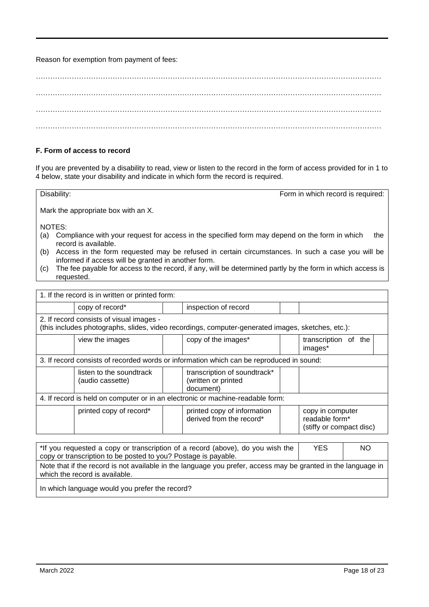Reason for exemption from payment of fees:

#### **F. Form of access to record**

If you are prevented by a disability to read, view or listen to the record in the form of access provided for in 1 to 4 below, state your disability and indicate in which form the record is required.

Disability: **Form in which record is required:** Form in which record is required:

Mark the appropriate box with an X.

NOTES:

- (a) Compliance with your request for access in the specified form may depend on the form in which the record is available.
- (b) Access in the form requested may be refused in certain circumstances. In such a case you will be informed if access will be granted in another form.
- (c) The fee payable for access to the record, if any, will be determined partly by the form in which access is requested.

| 1. If the record is in written or printed form:                                                                                                      |                                                                  |                                 |  |  |  |  |
|------------------------------------------------------------------------------------------------------------------------------------------------------|------------------------------------------------------------------|---------------------------------|--|--|--|--|
| copy of record*                                                                                                                                      | inspection of record                                             |                                 |  |  |  |  |
| 2. If record consists of visual images -<br>(this includes photographs, slides, video recordings, computer-generated images, sketches, etc.):        |                                                                  |                                 |  |  |  |  |
| view the images                                                                                                                                      | copy of the images*                                              | transcription of the<br>images* |  |  |  |  |
| 3. If record consists of recorded words or information which can be reproduced in sound:                                                             |                                                                  |                                 |  |  |  |  |
| listen to the soundtrack<br>(audio cassette)                                                                                                         | transcription of soundtrack*<br>(written or printed<br>document) |                                 |  |  |  |  |
| 4. If record is held on computer or in an electronic or machine-readable form:                                                                       |                                                                  |                                 |  |  |  |  |
| printed copy of record*<br>printed copy of information<br>copy in computer<br>derived from the record*<br>readable form*<br>(stiffy or compact disc) |                                                                  |                                 |  |  |  |  |
| <b>YES</b><br>*If you requested a copy or transcription of a record (above), do you wish the<br>ΝO                                                   |                                                                  |                                 |  |  |  |  |

| copy or transcription to be posted to you? Postage is payable.                                                                                  |  |  |  |
|-------------------------------------------------------------------------------------------------------------------------------------------------|--|--|--|
| Note that if the record is not available in the language you prefer, access may be granted in the language in<br>which the record is available. |  |  |  |
| .                                                                                                                                               |  |  |  |

In which language would you prefer the record?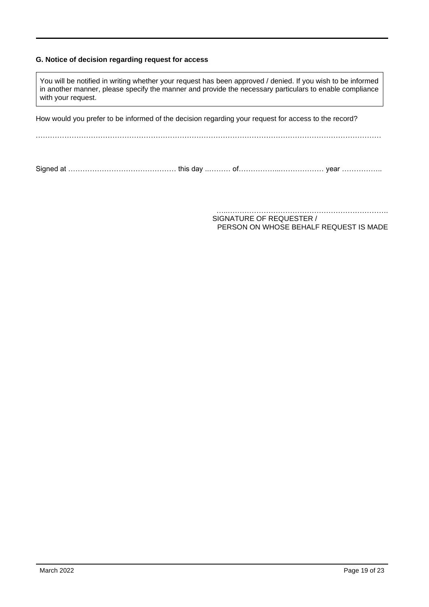#### **G. Notice of decision regarding request for access**

You will be notified in writing whether your request has been approved / denied. If you wish to be informed in another manner, please specify the manner and provide the necessary particulars to enable compliance with your request.

How would you prefer to be informed of the decision regarding your request for access to the record?

………………………………………………………………………………………………………………………………

Signed at ……………………………………… this day ..……… of……………...……………… year ……………..

…..…………………………………………………………. SIGNATURE OF REQUESTER / PERSON ON WHOSE BEHALF REQUEST IS MADE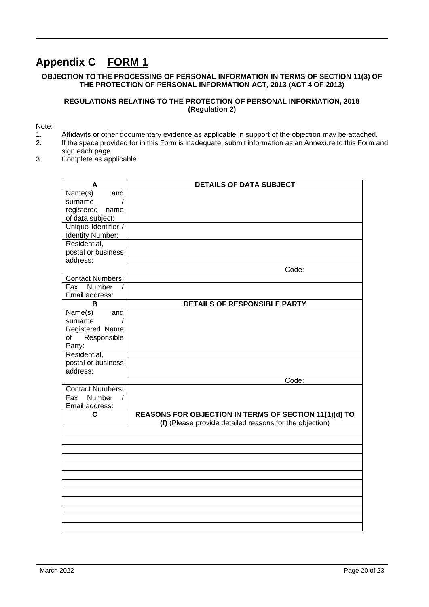# <span id="page-19-0"></span>**Appendix C FORM 1**

#### **OBJECTION TO THE PROCESSING OF PERSONAL INFORMATION IN TERMS OF SECTION 11(3) OF THE PROTECTION OF PERSONAL INFORMATION ACT, 2013 (ACT 4 OF 2013)**

#### **REGULATIONS RELATING TO THE PROTECTION OF PERSONAL INFORMATION, 2018 (Regulation 2)**

#### Note:

- 1. Affidavits or other documentary evidence as applicable in support of the objection may be attached.<br>2. If the space provided for in this Form is inadequate, submit information as an Annexure to this Form a
- If the space provided for in this Form is inadequate, submit information as an Annexure to this Form and sign each page.
- 3. Complete as applicable.

| A                                | <b>DETAILS OF DATA SUBJECT</b>                                                                                   |
|----------------------------------|------------------------------------------------------------------------------------------------------------------|
| Name(s)<br>and                   |                                                                                                                  |
| surname<br>$\prime$              |                                                                                                                  |
| registered<br>name               |                                                                                                                  |
| of data subject:                 |                                                                                                                  |
| Unique Identifier /              |                                                                                                                  |
| <b>Identity Number:</b>          |                                                                                                                  |
| Residential,                     |                                                                                                                  |
| postal or business               |                                                                                                                  |
| address:                         |                                                                                                                  |
|                                  | Code:                                                                                                            |
| <b>Contact Numbers:</b>          |                                                                                                                  |
| Fax Number                       |                                                                                                                  |
| Email address:                   |                                                                                                                  |
| в                                | <b>DETAILS OF RESPONSIBLE PARTY</b>                                                                              |
| Name(s)<br>and                   |                                                                                                                  |
| surname<br>$\prime$              |                                                                                                                  |
| Registered Name                  |                                                                                                                  |
| Responsible<br>of                |                                                                                                                  |
| Party:                           |                                                                                                                  |
| Residential,                     |                                                                                                                  |
| postal or business               |                                                                                                                  |
| address:                         |                                                                                                                  |
|                                  | Code:                                                                                                            |
| <b>Contact Numbers:</b>          |                                                                                                                  |
| Fax<br><b>Number</b><br>$\prime$ |                                                                                                                  |
| Email address:                   |                                                                                                                  |
| С                                | REASONS FOR OBJECTION IN TERMS OF SECTION 11(1)(d) TO<br>(f) (Please provide detailed reasons for the objection) |
|                                  |                                                                                                                  |
|                                  |                                                                                                                  |
|                                  |                                                                                                                  |
|                                  |                                                                                                                  |
|                                  |                                                                                                                  |
|                                  |                                                                                                                  |
|                                  |                                                                                                                  |
|                                  |                                                                                                                  |
|                                  |                                                                                                                  |
|                                  |                                                                                                                  |
|                                  |                                                                                                                  |
|                                  |                                                                                                                  |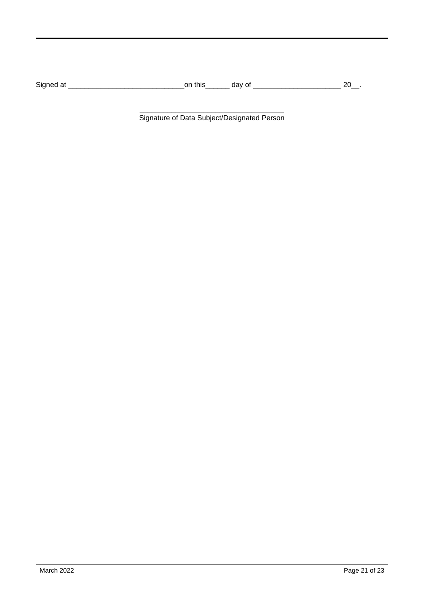| ⌒<br>.<br>510<br>- |  |  |
|--------------------|--|--|
|                    |  |  |

\_\_\_\_\_\_\_\_\_\_\_\_\_\_\_\_\_\_\_\_\_\_\_\_\_\_\_\_\_\_\_\_\_\_\_\_ Signature of Data Subject/Designated Person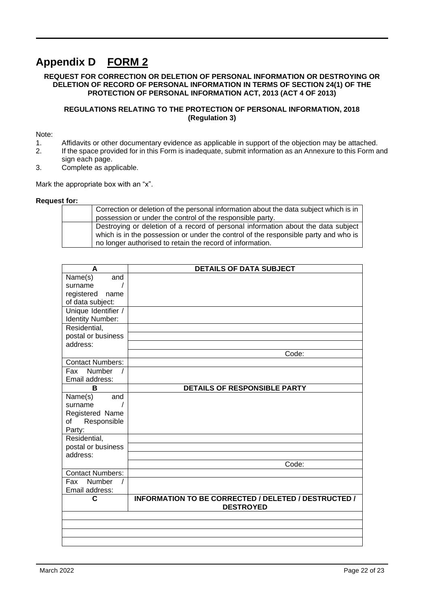# <span id="page-21-0"></span>**Appendix D FORM 2**

#### **REQUEST FOR CORRECTION OR DELETION OF PERSONAL INFORMATION OR DESTROYING OR DELETION OF RECORD OF PERSONAL INFORMATION IN TERMS OF SECTION 24(1) OF THE PROTECTION OF PERSONAL INFORMATION ACT, 2013 (ACT 4 OF 2013)**

#### **REGULATIONS RELATING TO THE PROTECTION OF PERSONAL INFORMATION, 2018 (Regulation 3)**

Note:

- 1. Affidavits or other documentary evidence as applicable in support of the objection may be attached.
- 2. If the space provided for in this Form is inadequate, submit information as an Annexure to this Form and sign each page.
- 3. Complete as applicable.

Mark the appropriate box with an "x".

#### **Request for:**

| Correction or deletion of the personal information about the data subject which is in |
|---------------------------------------------------------------------------------------|
| possession or under the control of the responsible party.                             |
| Destroying or deletion of a record of personal information about the data subject     |
| which is in the possession or under the control of the responsible party and who is   |
| no longer authorised to retain the record of information.                             |

| A                                  | <b>DETAILS OF DATA SUBJECT</b>                              |  |  |
|------------------------------------|-------------------------------------------------------------|--|--|
| Name(s)<br>and                     |                                                             |  |  |
| surname                            |                                                             |  |  |
| registered<br>name                 |                                                             |  |  |
| of data subject:                   |                                                             |  |  |
| Unique Identifier /                |                                                             |  |  |
| <b>Identity Number:</b>            |                                                             |  |  |
| Residential,                       |                                                             |  |  |
| postal or business                 |                                                             |  |  |
| address:                           |                                                             |  |  |
|                                    | Code:                                                       |  |  |
| <b>Contact Numbers:</b>            |                                                             |  |  |
| Fax Number                         |                                                             |  |  |
| Email address:                     |                                                             |  |  |
| B                                  | DETAILS OF RESPONSIBLE PARTY                                |  |  |
| Name(s)<br>and                     |                                                             |  |  |
| surname                            |                                                             |  |  |
| Registered Name                    |                                                             |  |  |
| Responsible<br>of                  |                                                             |  |  |
| Party:                             |                                                             |  |  |
| Residential,<br>postal or business |                                                             |  |  |
| address:                           |                                                             |  |  |
|                                    | Code:                                                       |  |  |
| <b>Contact Numbers:</b>            |                                                             |  |  |
| Fax Number                         |                                                             |  |  |
| Email address:                     |                                                             |  |  |
| C                                  | <b>INFORMATION TO BE CORRECTED / DELETED / DESTRUCTED /</b> |  |  |
|                                    | <b>DESTROYED</b>                                            |  |  |
|                                    |                                                             |  |  |
|                                    |                                                             |  |  |
|                                    |                                                             |  |  |
|                                    |                                                             |  |  |